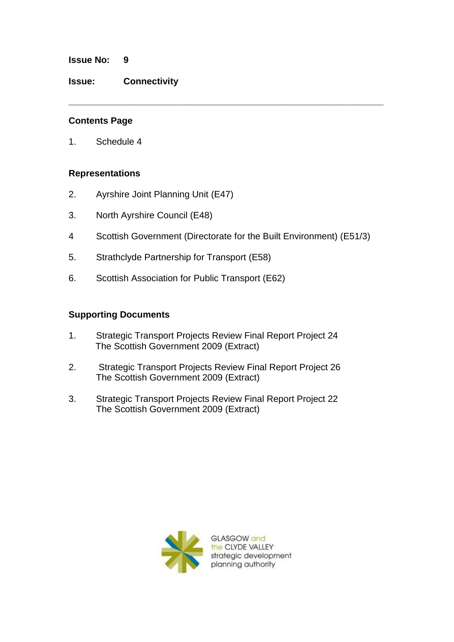#### **Issue No: 9**

**Issue: Connectivity**

### **Contents Page**

1. Schedule 4

### **Representations**

- 2. Ayrshire Joint Planning Unit (E47)
- 3. North Ayrshire Council (E48)
- 4 Scottish Government (Directorate for the Built Environment) (E51/3)

**\_\_\_\_\_\_\_\_\_\_\_\_\_\_\_\_\_\_\_\_\_\_\_\_\_\_\_\_\_\_\_\_\_\_\_\_\_\_\_\_\_\_\_\_\_\_\_\_\_\_\_\_\_\_\_\_\_\_\_\_\_\_**

- 5. Strathclyde Partnership for Transport (E58)
- 6. Scottish Association for Public Transport (E62)

### **Supporting Documents**

- 1. Strategic Transport Projects Review Final Report Project 24 The Scottish Government 2009 (Extract)
- 2. Strategic Transport Projects Review Final Report Project 26 The Scottish Government 2009 (Extract)
- 3. Strategic Transport Projects Review Final Report Project 22 The Scottish Government 2009 (Extract)



GLASGOW and the CLYDE VALLEY strategic development planning authority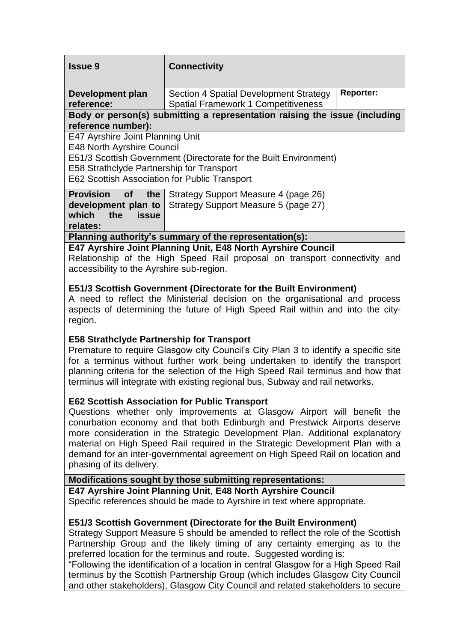| <b>Issue 9</b>                                                             | <b>Connectivity</b>                        |                  |
|----------------------------------------------------------------------------|--------------------------------------------|------------------|
|                                                                            |                                            |                  |
| Development plan                                                           | Section 4 Spatial Development Strategy     | <b>Reporter:</b> |
| reference:                                                                 | <b>Spatial Framework 1 Competitiveness</b> |                  |
| Body or person(s) submitting a representation raising the issue (including |                                            |                  |
| reference number):                                                         |                                            |                  |
| E47 Ayrshire Joint Planning Unit                                           |                                            |                  |
| <b>E48 North Ayrshire Council</b>                                          |                                            |                  |
| E51/3 Scottish Government (Directorate for the Built Environment)          |                                            |                  |
| E58 Strathclyde Partnership for Transport                                  |                                            |                  |
| E62 Scottish Association for Public Transport                              |                                            |                  |
| <b>Provision</b><br>of the                                                 | Strategy Support Measure 4 (page 26)       |                  |
| development plan to                                                        | Strategy Support Measure 5 (page 27)       |                  |
| which<br>the<br><b>issue</b>                                               |                                            |                  |
| relates:                                                                   |                                            |                  |
| Planning authority's summary of the representation(s):                     |                                            |                  |
| $FAT$ Armabina, Laint Diampina, Unit, $FAO$ Namth, Armabina Carmail        |                                            |                  |

**E47 Ayrshire Joint Planning Unit, E48 North Ayrshire Council** Relationship of the High Speed Rail proposal on transport connectivity and accessibility to the Ayrshire sub-region.

### **E51/3 Scottish Government (Directorate for the Built Environment)**

A need to reflect the Ministerial decision on the organisational and process aspects of determining the future of High Speed Rail within and into the cityregion.

### **E58 Strathclyde Partnership for Transport**

Premature to require Glasgow city Council's City Plan 3 to identify a specific site for a terminus without further work being undertaken to identify the transport planning criteria for the selection of the High Speed Rail terminus and how that terminus will integrate with existing regional bus, Subway and rail networks.

### **E62 Scottish Association for Public Transport**

Questions whether only improvements at Glasgow Airport will benefit the conurbation economy and that both Edinburgh and Prestwick Airports deserve more consideration in the Strategic Development Plan. Additional explanatory material on High Speed Rail required in the Strategic Development Plan with a demand for an inter-governmental agreement on High Speed Rail on location and phasing of its delivery.

### **Modifications sought by those submitting representations:**

**E47 Ayrshire Joint Planning Unit**, **E48 North Ayrshire Council**

Specific references should be made to Ayrshire in text where appropriate.

### **E51/3 Scottish Government (Directorate for the Built Environment)**

Strategy Support Measure 5 should be amended to reflect the role of the Scottish Partnership Group and the likely timing of any certainty emerging as to the preferred location for the terminus and route. Suggested wording is:

"Following the identification of a location in central Glasgow for a High Speed Rail terminus by the Scottish Partnership Group (which includes Glasgow City Council and other stakeholders), Glasgow City Council and related stakeholders to secure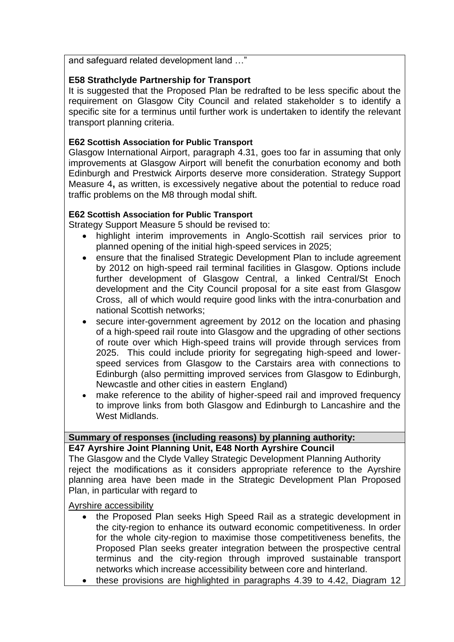and safeguard related development land …"

## **E58 Strathclyde Partnership for Transport**

It is suggested that the Proposed Plan be redrafted to be less specific about the requirement on Glasgow City Council and related stakeholder s to identify a specific site for a terminus until further work is undertaken to identify the relevant transport planning criteria.

### **E62 Scottish Association for Public Transport**

Glasgow International Airport, paragraph 4.31, goes too far in assuming that only improvements at Glasgow Airport will benefit the conurbation economy and both Edinburgh and Prestwick Airports deserve more consideration. Strategy Support Measure 4**,** as written, is excessively negative about the potential to reduce road traffic problems on the M8 through modal shift.

### **E62 Scottish Association for Public Transport**

Strategy Support Measure 5 should be revised to:

- highlight interim improvements in Anglo-Scottish rail services prior to planned opening of the initial high-speed services in 2025;
- ensure that the finalised Strategic Development Plan to include agreement by 2012 on high-speed rail terminal facilities in Glasgow. Options include further development of Glasgow Central, a linked Central/St Enoch development and the City Council proposal for a site east from Glasgow Cross, all of which would require good links with the intra-conurbation and national Scottish networks;
- secure inter-government agreement by 2012 on the location and phasing of a high-speed rail route into Glasgow and the upgrading of other sections of route over which High-speed trains will provide through services from 2025. This could include priority for segregating high-speed and lowerspeed services from Glasgow to the Carstairs area with connections to Edinburgh (also permitting improved services from Glasgow to Edinburgh, Newcastle and other cities in eastern England)
- make reference to the ability of higher-speed rail and improved frequency to improve links from both Glasgow and Edinburgh to Lancashire and the West Midlands.

## **Summary of responses (including reasons) by planning authority:**

**E47 Ayrshire Joint Planning Unit, E48 North Ayrshire Council**

The Glasgow and the Clyde Valley Strategic Development Planning Authority reject the modifications as it considers appropriate reference to the Ayrshire planning area have been made in the Strategic Development Plan Proposed Plan, in particular with regard to

#### Ayrshire accessibility

- the Proposed Plan seeks High Speed Rail as a strategic development in the city-region to enhance its outward economic competitiveness. In order for the whole city-region to maximise those competitiveness benefits, the Proposed Plan seeks greater integration between the prospective central terminus and the city-region through improved sustainable transport networks which increase accessibility between core and hinterland.
- these provisions are highlighted in paragraphs 4.39 to 4.42, Diagram 12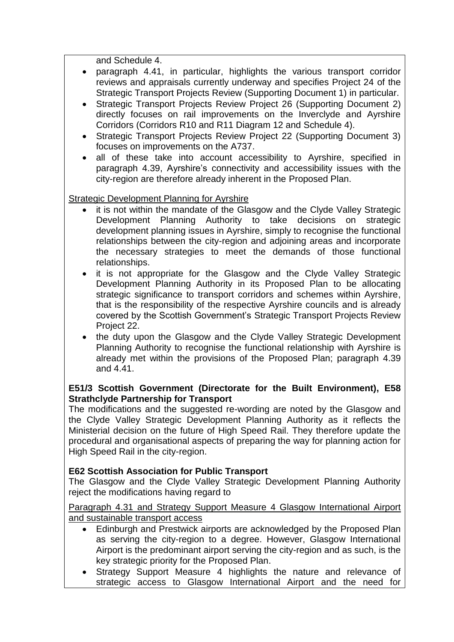and Schedule 4.

- paragraph 4.41, in particular, highlights the various transport corridor reviews and appraisals currently underway and specifies Project 24 of the Strategic Transport Projects Review (Supporting Document 1) in particular.
- Strategic Transport Projects Review Project 26 (Supporting Document 2) directly focuses on rail improvements on the Inverclyde and Ayrshire Corridors (Corridors R10 and R11 Diagram 12 and Schedule 4).
- Strategic Transport Projects Review Project 22 (Supporting Document 3) focuses on improvements on the A737.
- all of these take into account accessibility to Ayrshire, specified in paragraph 4.39, Ayrshire's connectivity and accessibility issues with the city-region are therefore already inherent in the Proposed Plan.

Strategic Development Planning for Ayrshire

- it is not within the mandate of the Glasgow and the Clyde Valley Strategic Development Planning Authority to take decisions on strategic development planning issues in Ayrshire, simply to recognise the functional relationships between the city-region and adjoining areas and incorporate the necessary strategies to meet the demands of those functional relationships.
- it is not appropriate for the Glasgow and the Clyde Valley Strategic Development Planning Authority in its Proposed Plan to be allocating strategic significance to transport corridors and schemes within Ayrshire, that is the responsibility of the respective Ayrshire councils and is already covered by the Scottish Government's Strategic Transport Projects Review Project 22.
- the duty upon the Glasgow and the Clyde Valley Strategic Development Planning Authority to recognise the functional relationship with Ayrshire is already met within the provisions of the Proposed Plan; paragraph 4.39 and 4.41.

## **E51/3 Scottish Government (Directorate for the Built Environment), E58 Strathclyde Partnership for Transport**

The modifications and the suggested re-wording are noted by the Glasgow and the Clyde Valley Strategic Development Planning Authority as it reflects the Ministerial decision on the future of High Speed Rail. They therefore update the procedural and organisational aspects of preparing the way for planning action for High Speed Rail in the city-region.

# **E62 Scottish Association for Public Transport**

The Glasgow and the Clyde Valley Strategic Development Planning Authority reject the modifications having regard to

Paragraph 4.31 and Strategy Support Measure 4 Glasgow International Airport and sustainable transport access

- Edinburgh and Prestwick airports are acknowledged by the Proposed Plan as serving the city-region to a degree. However, Glasgow International Airport is the predominant airport serving the city-region and as such, is the key strategic priority for the Proposed Plan.
- Strategy Support Measure 4 highlights the nature and relevance of strategic access to Glasgow International Airport and the need for